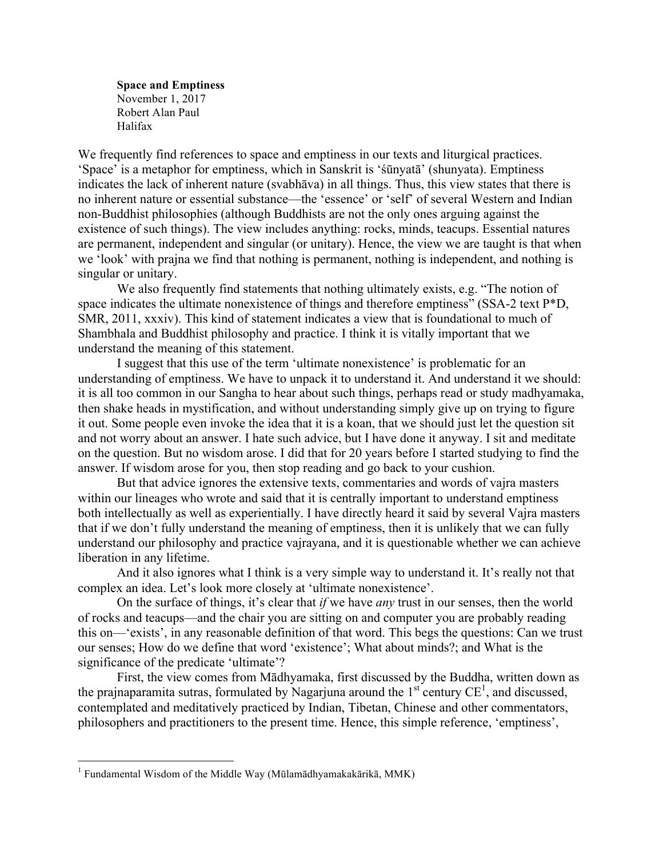**Space and Emptiness** November 1, 2017 Robert Alan Paul Halifax

We frequently find references to space and emptiness in our texts and liturgical practices. 'Space' is a metaphor for emptiness, which in Sanskrit is 'śūnyatā' (shunyata). Emptiness indicates the lack of inherent nature (svabhāva) in all things. Thus, this view states that there is no inherent nature or essential substance—the 'essence' or 'self' of several Western and Indian non-Buddhist philosophies (although Buddhists are not the only ones arguing against the existence of such things). The view includes anything: rocks, minds, teacups. Essential natures are permanent, independent and singular (or unitary). Hence, the view we are taught is that when we 'look' with prajna we find that nothing is permanent, nothing is independent, and nothing is singular or unitary.

We also frequently find statements that nothing ultimately exists, e.g. "The notion of space indicates the ultimate nonexistence of things and therefore emptiness" (SSA-2 text P\*D, SMR, 2011, xxxiv). This kind of statement indicates a view that is foundational to much of Shambhala and Buddhist philosophy and practice. I think it is vitally important that we understand the meaning of this statement.

I suggest that this use of the term 'ultimate nonexistence' is problematic for an understanding of emptiness. We have to unpack it to understand it. And understand it we should: it is all too common in our Sangha to hear about such things, perhaps read or study madhyamaka, then shake heads in mystification, and without understanding simply give up on trying to figure it out. Some people even invoke the idea that it is a koan, that we should just let the question sit and not worry about an answer. I hate such advice, but I have done it anyway. I sit and meditate on the question. But no wisdom arose. I did that for 20 years before I started studying to find the answer. If wisdom arose for you, then stop reading and go back to your cushion.

But that advice ignores the extensive texts, commentaries and words of vajra masters within our lineages who wrote and said that it is centrally important to understand emptiness both intellectually as well as experientially. I have directly heard it said by several Vajra masters that if we don't fully understand the meaning of emptiness, then it is unlikely that we can fully understand our philosophy and practice vajrayana, and it is questionable whether we can achieve liberation in any lifetime.

And it also ignores what I think is a very simple way to understand it. It's really not that complex an idea. Let's look more closely at 'ultimate nonexistence'.

On the surface of things, it's clear that *if* we have *any* trust in our senses, then the world of rocks and teacups—and the chair you are sitting on and computer you are probably reading this on—'exists', in any reasonable definition of that word. This begs the questions: Can we trust our senses; How do we define that word 'existence'; What about minds?; and What is the significance of the predicate 'ultimate'?

First, the view comes from Mādhyamaka, first discussed by the Buddha, written down as the prajnaparamita sutras, formulated by Nagarjuna around the  $1<sup>st</sup>$  century CE<sup>1</sup>, and discussed, contemplated and meditatively practiced by Indian, Tibetan, Chinese and other commentators, philosophers and practitioners to the present time. Hence, this simple reference, 'emptiness',

<sup>&</sup>lt;sup>1</sup> Fundamental Wisdom of the Middle Way (Mūlamādhyamakakārikā, MMK)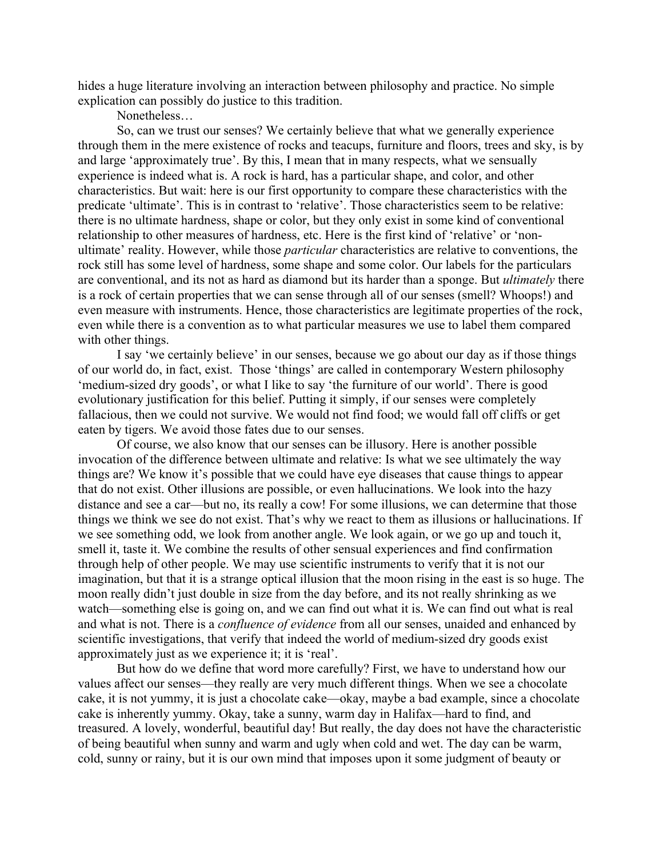hides a huge literature involving an interaction between philosophy and practice. No simple explication can possibly do justice to this tradition.

Nonetheless…

So, can we trust our senses? We certainly believe that what we generally experience through them in the mere existence of rocks and teacups, furniture and floors, trees and sky, is by and large 'approximately true'. By this, I mean that in many respects, what we sensually experience is indeed what is. A rock is hard, has a particular shape, and color, and other characteristics. But wait: here is our first opportunity to compare these characteristics with the predicate 'ultimate'. This is in contrast to 'relative'. Those characteristics seem to be relative: there is no ultimate hardness, shape or color, but they only exist in some kind of conventional relationship to other measures of hardness, etc. Here is the first kind of 'relative' or 'nonultimate' reality. However, while those *particular* characteristics are relative to conventions, the rock still has some level of hardness, some shape and some color. Our labels for the particulars are conventional, and its not as hard as diamond but its harder than a sponge. But *ultimately* there is a rock of certain properties that we can sense through all of our senses (smell? Whoops!) and even measure with instruments. Hence, those characteristics are legitimate properties of the rock, even while there is a convention as to what particular measures we use to label them compared with other things.

I say 'we certainly believe' in our senses, because we go about our day as if those things of our world do, in fact, exist. Those 'things' are called in contemporary Western philosophy 'medium-sized dry goods', or what I like to say 'the furniture of our world'. There is good evolutionary justification for this belief. Putting it simply, if our senses were completely fallacious, then we could not survive. We would not find food; we would fall off cliffs or get eaten by tigers. We avoid those fates due to our senses.

Of course, we also know that our senses can be illusory. Here is another possible invocation of the difference between ultimate and relative: Is what we see ultimately the way things are? We know it's possible that we could have eye diseases that cause things to appear that do not exist. Other illusions are possible, or even hallucinations. We look into the hazy distance and see a car—but no, its really a cow! For some illusions, we can determine that those things we think we see do not exist. That's why we react to them as illusions or hallucinations. If we see something odd, we look from another angle. We look again, or we go up and touch it, smell it, taste it. We combine the results of other sensual experiences and find confirmation through help of other people. We may use scientific instruments to verify that it is not our imagination, but that it is a strange optical illusion that the moon rising in the east is so huge. The moon really didn't just double in size from the day before, and its not really shrinking as we watch—something else is going on, and we can find out what it is. We can find out what is real and what is not. There is a *confluence of evidence* from all our senses, unaided and enhanced by scientific investigations, that verify that indeed the world of medium-sized dry goods exist approximately just as we experience it; it is 'real'.

But how do we define that word more carefully? First, we have to understand how our values affect our senses—they really are very much different things. When we see a chocolate cake, it is not yummy, it is just a chocolate cake—okay, maybe a bad example, since a chocolate cake is inherently yummy. Okay, take a sunny, warm day in Halifax—hard to find, and treasured. A lovely, wonderful, beautiful day! But really, the day does not have the characteristic of being beautiful when sunny and warm and ugly when cold and wet. The day can be warm, cold, sunny or rainy, but it is our own mind that imposes upon it some judgment of beauty or